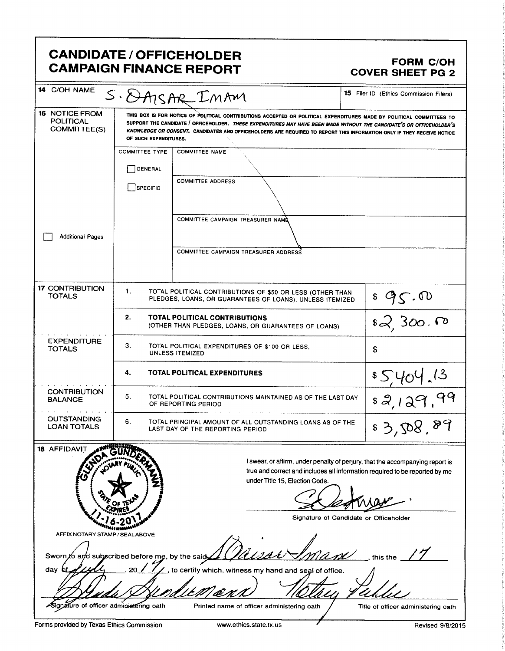|                                                           |                       | <b>CANDIDATE / OFFICEHOLDER</b><br><b>CAMPAIGN FINANCE REPORT</b>                                                                                                                                                                                                                                                                                                       | <b>FORM C/OH</b><br><b>COVER SHEET PG 2</b>                                                                             |  |
|-----------------------------------------------------------|-----------------------|-------------------------------------------------------------------------------------------------------------------------------------------------------------------------------------------------------------------------------------------------------------------------------------------------------------------------------------------------------------------------|-------------------------------------------------------------------------------------------------------------------------|--|
| 14 C/OH NAME                                              |                       | S. DAISAR IMAM                                                                                                                                                                                                                                                                                                                                                          | 15 Filer ID (Ethics Commission Filers)                                                                                  |  |
| <b>16 NOTICE FROM</b><br><b>POLITICAL</b><br>COMMITTEE(S) | OF SUCH EXPENDITURES. | THIS BOX IS FOR NOTICE OF POLITICAL CONTRIBUTIONS ACCEPTED OR POLITICAL EXPENDITURES MADE BY POLITICAL COMMITTEES TO<br>SUPPORT THE CANDIDATE / OFFICEHOLDER. THESE EXPENDITURES MAY HAVE BEEN MADE WITHOUT THE CANDIDATE'S OR OFFICEHOLDER'S<br>KNOWLEDGE OR CONSENT. CANDIDATES AND OFFICEHOLDERS ARE REQUIRED TO REPORT THIS INFORMATION ONLY IF THEY RECEIVE NOTICE |                                                                                                                         |  |
|                                                           | <b>COMMITTEE TYPE</b> | <b>COMMITTEE NAME</b>                                                                                                                                                                                                                                                                                                                                                   |                                                                                                                         |  |
|                                                           | GENERAL               |                                                                                                                                                                                                                                                                                                                                                                         |                                                                                                                         |  |
|                                                           | <b>SPECIFIC</b>       | <b>COMMITTEE ADDRESS</b>                                                                                                                                                                                                                                                                                                                                                |                                                                                                                         |  |
| <b>Additional Pages</b>                                   |                       | COMMITTEE CAMPAIGN TREASURER NAMA                                                                                                                                                                                                                                                                                                                                       |                                                                                                                         |  |
|                                                           |                       | COMMITTEE CAMPAIGN TREASURER ADDRESS                                                                                                                                                                                                                                                                                                                                    |                                                                                                                         |  |
| <b>17 CONTRIBUTION</b><br><b>TOTALS</b>                   | 1.                    | TOTAL POLITICAL CONTRIBUTIONS OF \$50 OR LESS (OTHER THAN<br>PLEDGES, LOANS, OR GUARANTEES OF LOANS), UNLESS ITEMIZED                                                                                                                                                                                                                                                   |                                                                                                                         |  |
|                                                           | 2.                    | TOTAL POLITICAL CONTRIBUTIONS<br>(OTHER THAN PLEDGES, LOANS, OR GUARANTEES OF LOANS)                                                                                                                                                                                                                                                                                    | $\frac{$45.00}{$2,300.00}$                                                                                              |  |
| <b>EXPENDITURE</b><br>TOTALS                              | 3.                    | TOTAL POLITICAL EXPENDITURES OF \$100 OR LESS.<br><b>UNLESS ITEMIZED</b>                                                                                                                                                                                                                                                                                                | \$                                                                                                                      |  |
|                                                           | 4.                    | TOTAL POLITICAL EXPENDITURES                                                                                                                                                                                                                                                                                                                                            |                                                                                                                         |  |
| <b>CONTRIBUTION</b><br><b>BALANCE</b><br>.                | 5.                    | TOTAL POLITICAL CONTRIBUTIONS MAINTAINED AS OF THE LAST DAY<br>OF REPORTING PERIOD                                                                                                                                                                                                                                                                                      | <u>55404.13</u><br>52,129.99                                                                                            |  |
| <b>OUTSTANDING</b><br><b>LOAN TOTALS</b>                  | 6.                    | TOTAL PRINCIPAL AMOUNT OF ALL OUTSTANDING LOANS AS OF THE<br>LAST DAY OF THE REPORTING PERIOD                                                                                                                                                                                                                                                                           | \$3,508.89                                                                                                              |  |
| 18 AFFIDAVIT<br>į                                         |                       | true and correct and includes all information required to be reported by me<br>under Title 15, Election Code.                                                                                                                                                                                                                                                           | I swear, or affirm, under penalty of perjury, that the accompanying report is<br>Signature of Candidate or Officeholder |  |
| AFFIX NOTARY STAMP / SEAL ABOVE                           |                       |                                                                                                                                                                                                                                                                                                                                                                         |                                                                                                                         |  |
| Sworn to and subscribed before me, by the said<br>day     |                       | to certify which, witness my hand and seal of office.                                                                                                                                                                                                                                                                                                                   | this the                                                                                                                |  |
|                                                           |                       |                                                                                                                                                                                                                                                                                                                                                                         |                                                                                                                         |  |
| Signature of officer adminietering oath                   |                       | Printed name of officer administering oath                                                                                                                                                                                                                                                                                                                              | Title of officer administering oath                                                                                     |  |

Г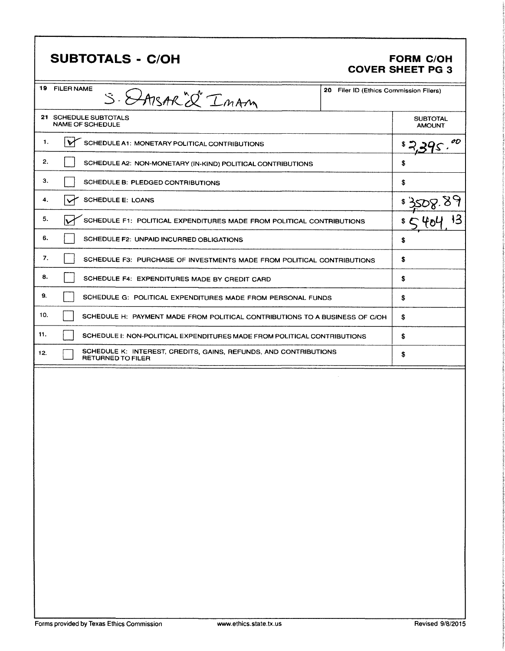| <b>SUBTOTALS - C/OH</b>                                                                      |                                        | <b>FORM C/OH</b><br><b>COVER SHEET PG 3</b> |
|----------------------------------------------------------------------------------------------|----------------------------------------|---------------------------------------------|
| 19 FILER NAME<br>S. DAISAR'S IMAM                                                            | 20 Filer ID (Ethics Commission Filers) |                                             |
| 21 SCHEDULE SUBTOTALS<br><b>NAME OF SCHEDULE</b>                                             |                                        | <b>SUBTOTAL</b><br><b>AMOUNT</b>            |
| SCHEDULE A1: MONETARY POLITICAL CONTRIBUTIONS<br>1.<br>M                                     |                                        | OD<br>\$                                    |
| 2.<br>SCHEDULE A2: NON-MONETARY (IN-KIND) POLITICAL CONTRIBUTIONS                            |                                        | S                                           |
| з.<br>SCHEDULE B: PLEDGED CONTRIBUTIONS                                                      |                                        | \$                                          |
| 4.<br><b>SCHEDULE E: LOANS</b>                                                               |                                        | \$3508.0                                    |
| 5.<br>SCHEDULE F1: POLITICAL EXPENDITURES MADE FROM POLITICAL CONTRIBUTIONS                  |                                        |                                             |
| 6.<br>SCHEDULE F2: UNPAID INCURRED OBLIGATIONS                                               |                                        | \$                                          |
| 7.<br>SCHEDULE F3: PURCHASE OF INVESTMENTS MADE FROM POLITICAL CONTRIBUTIONS                 |                                        | \$                                          |
| 8.<br>SCHEDULE F4: EXPENDITURES MADE BY CREDIT CARD                                          |                                        | \$                                          |
| 9.<br>SCHEDULE G: POLITICAL EXPENDITURES MADE FROM PERSONAL FUNDS                            |                                        | \$                                          |
| 10.<br>SCHEDULE H: PAYMENT MADE FROM POLITICAL CONTRIBUTIONS TO A BUSINESS OF C/OH           |                                        | \$                                          |
| 11.<br>SCHEDULE I: NON-POLITICAL EXPENDITURES MADE FROM POLITICAL CONTRIBUTIONS              |                                        | \$                                          |
| SCHEDULE K: INTEREST, CREDITS, GAINS, REFUNDS, AND CONTRIBUTIONS<br>12.<br>RETURNED TO FILER |                                        | \$                                          |
|                                                                                              |                                        |                                             |

ı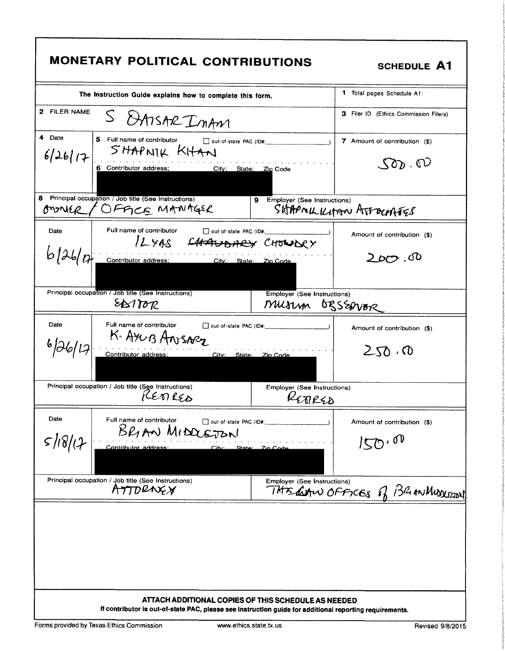| MONETARY POLITICAL CONTRIBUTIONS                                                            |                                                                                                                                                                | <b>SCHEDULE A1</b>                                                                       |
|---------------------------------------------------------------------------------------------|----------------------------------------------------------------------------------------------------------------------------------------------------------------|------------------------------------------------------------------------------------------|
| The Instruction Guide explains how to complete this form.                                   |                                                                                                                                                                | 1 Total pages Schedule A1:                                                               |
| 2 FILER NAME<br>S DAISAR IMAM                                                               |                                                                                                                                                                | 3 Filer ID (Ethics Commission Filers)                                                    |
| 4 Date<br>5 Full name of contributor<br>$6/26/17$ SHAPNIK KHAN<br>.<br>Contributor address; | $\Box$ out-of-state PAC (ID#:<br>City; State; Zip Code                                                                                                         | 7 Amount of contribution (\$)<br>$\mathcal{S}(\mathcal{D})$ . $\mathcal{D}(\mathcal{D})$ |
| 8<br>Principal occupation / Job title (See Instructions)<br>OFFICE MANAGER<br>onnee         | 9 Employer (See Instructions)                                                                                                                                  | SHAPMILILIAAN AFFOCPAFES                                                                 |
| Full name of contributor<br>Date                                                            | out-of-state PAC (ID#:<br>12 xas CHAUDARY CHOWDRY                                                                                                              | Amount of contribution (\$)                                                              |
| b126101                                                                                     | Contributor address; City: State: Zip Code                                                                                                                     | 2 brs .UO                                                                                |
| Principal occupation / Job title (See Instructions)<br>EASTOR                               | <b>Employer (See Instructions)</b><br>MUSLIM OBSERVOR                                                                                                          |                                                                                          |
| Date<br>Full name of contributor<br>K. Arus Ansoez                                          | D out-of-state PAC (ID#: 2000)<br>Contributor address: City: State: Zip Code                                                                                   | Amount of contribution (\$)<br>250.0                                                     |
| Principal occupation / Job title (See Instructions)<br>LEMRED                               | Employer (See Instructions)<br>ETIRSD                                                                                                                          |                                                                                          |
| Date<br>Full name of contributor<br>BRIAN MIDOLEJON<br>5/18/17<br>Contributor address:      | out-of-state PAC (ID#:<br>$\mathbf{C}$ itv $\cdot$<br>State: Zin Cod                                                                                           | Amount of contribution (\$)<br>$\mathbb{R}^{n,00}$                                       |
| Principal occupation / Job title (See Instructions)<br>ATTORNEX                             | Employer (See Instructions)                                                                                                                                    | THIS dern OFFICES of BRANKINDURON                                                        |
|                                                                                             | ATTACH ADDITIONAL COPIES OF THIS SCHEDULE AS NEEDED<br>If contributor is out-of-state PAC, please see instruction guide for additional reporting requirements. |                                                                                          |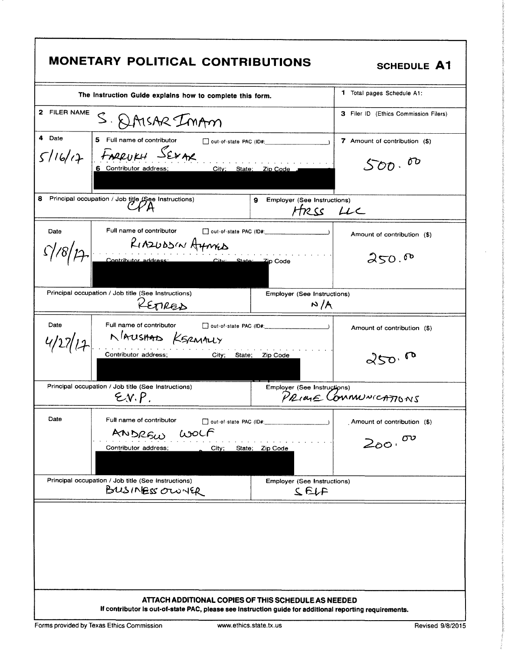| MONETARY POLITICAL CONTRIBUTIONS                                                                                                                               | <b>SCHEDULE A1</b>                                  |
|----------------------------------------------------------------------------------------------------------------------------------------------------------------|-----------------------------------------------------|
| The Instruction Guide explains how to complete this form.                                                                                                      | 1 Total pages Schedule A1:                          |
| 2 FILER NAME<br>S. QAISAR IMAM                                                                                                                                 | 3 Filer ID (Ethics Commission Filers)               |
| 4 Date<br>5 Full name of contributor                                                                                                                           | 7 Amount of contribution (\$)                       |
| $5116/17$ FARRUKH SEXAR<br>City; State; Zip Code<br>6 Contributor address;                                                                                     | 00<br>$S$ oo $\cdot$                                |
| 8.<br>Principal occupation / Job title (See Instructions)<br>9                                                                                                 | Employer (See Instructions)<br>HRSS LLC             |
| Full name of contributor and out-of-state PAC (ID#: _____________________________<br>Date<br>KIAZUDSIN AYMED                                                   | Amount of contribution (\$)                         |
| 18/17 Contributor address: City State: Zip Code                                                                                                                | 250.0                                               |
| Principal occupation / Job title (See Instructions)<br>KETRED                                                                                                  | Employer (See Instructions)<br>N/A                  |
| Date<br>Full name of contributor<br>MAUSHAD KSRMALLY                                                                                                           | Amount of contribution (\$)                         |
| Contributor address;<br>City; State; Zip Code                                                                                                                  | 250.00                                              |
| Principal occupation / Job title (See Instructions)<br>E.V.P.                                                                                                  | Employer (See Instructions)<br>PRIME COMMUNICATIONS |
| Date<br>Full name of contributor<br>out-of-state PAC (ID#: 1999)                                                                                               | Amount of contribution (\$)                         |
| ANDREW WOLF<br>Contributor address;<br>City;<br>State; Zip Code                                                                                                | $200 \cdot 00$                                      |
| Principal occupation / Job title (See Instructions)<br>BUSINESS OUNCR                                                                                          | <b>Employer (See Instructions)</b><br>75            |
|                                                                                                                                                                |                                                     |
| ATTACH ADDITIONAL COPIES OF THIS SCHEDULE AS NEEDED<br>If contributor is out-of-state PAC, please see instruction guide for additional reporting requirements. |                                                     |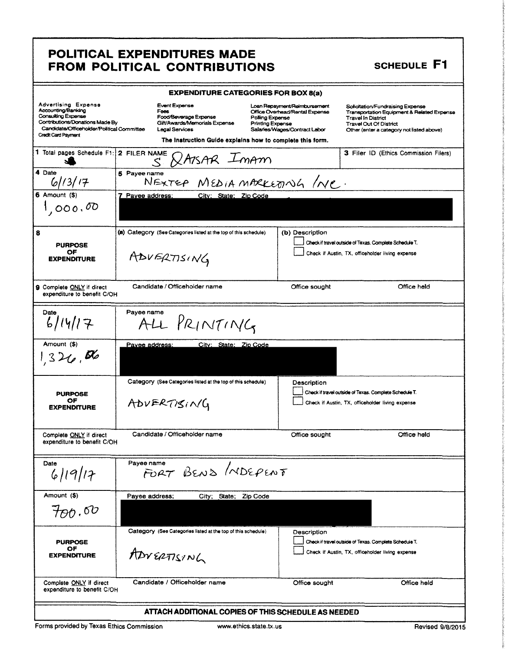### POLITICAL EXPENDITURES MADE FROM POLITICAL CONTRIBUTIONS

### **SCHEDULE F1**

|                                                                                                                                                                                | <b>EXPENDITURE CATEGORIES FOR BOX 8(a)</b>                                                                                                                            |                                                                                                                                               |                                                                                                                                                                                    |
|--------------------------------------------------------------------------------------------------------------------------------------------------------------------------------|-----------------------------------------------------------------------------------------------------------------------------------------------------------------------|-----------------------------------------------------------------------------------------------------------------------------------------------|------------------------------------------------------------------------------------------------------------------------------------------------------------------------------------|
| Advertising Expense<br>Accounting/Banking<br><b>Consulting Expense</b><br>Contributions/Donations Made By<br>Candidate/Officeholder/Political Committee<br>Credit Card Payment | Event Expense<br>Foes<br>Food/Beverage Expense<br>Gift/Awards/Memorials Expense<br><b>Legal Services</b><br>The instruction Guide explains how to complete this form. | Loan Repayment/Reimbursement<br>Office Overhead/Rental Expense<br>Polling Expense<br><b>Printing Expense</b><br>Salaries/Wages/Contract Labor | Solicitation/Fundraising Expense<br>Transportation Equipment & Related Expense<br>Travel In District<br><b>Travel Out Of District</b><br>Other (enter a category not listed above) |
| 1 Total pages Schedule F1: 2 FILER NAME                                                                                                                                        | <b>XAISAR</b> ImAM<br>$\leq$                                                                                                                                          |                                                                                                                                               | 3 Filer ID (Ethics Commission Filers)                                                                                                                                              |
| 4 Date<br>61/3/17                                                                                                                                                              | 5 Payee name<br>Sname<br>NEXTEP MEDIA MARKEDNG /NC.                                                                                                                   |                                                                                                                                               |                                                                                                                                                                                    |
| 6 Amount (\$)                                                                                                                                                                  | 7 Payee address:<br>City: State: Zip Code                                                                                                                             |                                                                                                                                               |                                                                                                                                                                                    |
| 1,000,00                                                                                                                                                                       |                                                                                                                                                                       |                                                                                                                                               |                                                                                                                                                                                    |
| 8<br><b>PURPOSE</b><br>OF                                                                                                                                                      | (a) Category (See Categories listed at the top of this schedule)                                                                                                      | (b) Description                                                                                                                               | Check if travel outside of Texas. Complete Schedule T.<br>Check if Austin, TX, officeholder living expense                                                                         |
| <b>EXPENDITURE</b>                                                                                                                                                             | ADVERTISING                                                                                                                                                           |                                                                                                                                               |                                                                                                                                                                                    |
| 9 Complete ONLY if direct<br>expenditure to benefit C/OH                                                                                                                       | Candidate / Officeholder name                                                                                                                                         | Office sought                                                                                                                                 | Office held                                                                                                                                                                        |
| Date<br>6/14/17                                                                                                                                                                | Payee name<br>ALL PRINTING                                                                                                                                            |                                                                                                                                               |                                                                                                                                                                                    |
| Amount (\$)<br>326,56                                                                                                                                                          | City: State: Zip Code<br><u>Pavee address:</u>                                                                                                                        |                                                                                                                                               |                                                                                                                                                                                    |
| <b>PURPOSE</b><br>ОF<br><b>EXPENDITURE</b>                                                                                                                                     | Category (See Categories listed at the top of this schedule)<br>ADVERTISING                                                                                           | Description                                                                                                                                   | Check if travel outside of Texas. Complete Schedule T.<br>Check if Austin, TX, officeholder living expense                                                                         |
| Complete ONLY if direct<br>expenditure to benefit C/OH                                                                                                                         | Candidate / Officeholder name                                                                                                                                         | Office sought                                                                                                                                 | Office held                                                                                                                                                                        |
| Date<br>6 19 17                                                                                                                                                                | Payee name<br>FORT BEND MDEPENT                                                                                                                                       |                                                                                                                                               |                                                                                                                                                                                    |
| Amount (\$)<br>$H$ nd $\delta v$                                                                                                                                               | Payee address;<br>City: State; Zip Code                                                                                                                               |                                                                                                                                               |                                                                                                                                                                                    |
| <b>PURPOSE</b><br>OF<br><b>EXPENDITURE</b>                                                                                                                                     | Category (See Categories listed at the top of this schedule)<br>ADVERTISING                                                                                           | Description                                                                                                                                   | Check if travel outside of Texas. Complete Schedule T.<br>Check if Austin, TX, officeholder living expense                                                                         |
| Complete ONLY if direct<br>expenditure to benefit C/OH                                                                                                                         | Candidate / Officeholder name                                                                                                                                         | Office sought                                                                                                                                 | Office held                                                                                                                                                                        |
|                                                                                                                                                                                | ATTACH ADDITIONAL COPIES OF THIS SCHEDULE AS NEEDED                                                                                                                   |                                                                                                                                               |                                                                                                                                                                                    |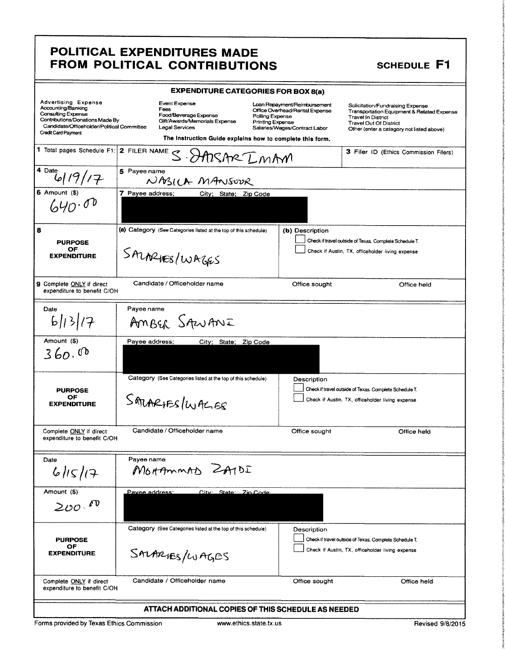## POLITICAL EXPENDITURES MADE<br>
FROM POLITICAL CONTRIBUTIONS
SCHEDULE F1 FROM POLITICAL CONTRIBUTIONS

|                                                                                                                                                                                       | POLITICAL EXPENDITURES MADE<br>FROM POLITICAL CONTRIBUTIONS                                                                                                                                                         |                                                                                                 | SCHEDULE F1                                                                                                                                                                               |
|---------------------------------------------------------------------------------------------------------------------------------------------------------------------------------------|---------------------------------------------------------------------------------------------------------------------------------------------------------------------------------------------------------------------|-------------------------------------------------------------------------------------------------|-------------------------------------------------------------------------------------------------------------------------------------------------------------------------------------------|
|                                                                                                                                                                                       | <b>EXPENDITURE CATEGORIES FOR BOX 8(a)</b>                                                                                                                                                                          |                                                                                                 |                                                                                                                                                                                           |
| <b>Advertising Expense</b><br>Accounting/Banking<br><b>Consulting Expense</b><br>Contributions/Donations Made By<br>Candidate/Officeholder/Political Committee<br>Credit Card Payment | Event Expense<br>Fees<br>Food/Beverage Expense<br>Polling Expense<br>Gift/Awards/Memorials Expense<br><b>Printing Expense</b><br><b>Legal Services</b><br>The Instruction Guide explains how to complete this form. | Loan Repayment/Reimbursement<br>Office Overhead/Rental Expense<br>Salaries/Wages/Contract Labor | Solicitation/Fundraising Expense<br>Transportation Equipment & Related Expense<br><b>Travel In District</b><br><b>Travel Out Of District</b><br>Other (enter a category not listed above) |
|                                                                                                                                                                                       | 1 Total pages Schedule F1: 2 FILER NAME S. DATSARE LMAM                                                                                                                                                             |                                                                                                 | 3 Filer ID (Ethics Commission Filers)                                                                                                                                                     |
| 4 Date<br>'17                                                                                                                                                                         | 5 Payee name<br>NASILA MANSOUR                                                                                                                                                                                      |                                                                                                 |                                                                                                                                                                                           |
| $6$ Amount $($)$<br>640.000                                                                                                                                                           | 7 Payee address;<br>City; State; Zip Code                                                                                                                                                                           |                                                                                                 |                                                                                                                                                                                           |
| 8<br><b>PURPOSE</b><br><b>OF</b><br><b>EXPENDITURE</b>                                                                                                                                | (a) Category (See Categories listed at the top of this schedule)<br>SALARUES/WAGES                                                                                                                                  | (b) Description                                                                                 | Check if travel outside of Texas. Complete Schedule T.<br>Check if Austin, TX, officeholder living expense                                                                                |
| 9 Complete ONLY if direct<br>expenditure to benefit C/OH                                                                                                                              | Candidate / Officeholder name                                                                                                                                                                                       | Office sought                                                                                   | Office held                                                                                                                                                                               |
| Date<br>6  3  7                                                                                                                                                                       | Payee name<br>AMBER SAWANI                                                                                                                                                                                          |                                                                                                 |                                                                                                                                                                                           |
| Amount (\$)<br>360.00                                                                                                                                                                 | Payee address;<br>City; State; Zip Code                                                                                                                                                                             |                                                                                                 |                                                                                                                                                                                           |
| <b>PURPOSE</b><br>OF<br><b>EXPENDITURE</b>                                                                                                                                            | Category (See Categories listed at the top of this schedule)<br>SALARIFS/WALES                                                                                                                                      | Description                                                                                     | Check if travel outside of Texas. Complete Schedule T.<br>Check if Austin, TX, officeholder living expense                                                                                |
| Complete ONLY if direct<br>expenditure to benefit C/OH                                                                                                                                | Candidate / Officeholder name                                                                                                                                                                                       | Office sought                                                                                   | Office held                                                                                                                                                                               |
| Date<br>6115/17                                                                                                                                                                       | Payee name<br>MOHAMMAD ZATDI                                                                                                                                                                                        |                                                                                                 |                                                                                                                                                                                           |
| Amount (\$)<br>200.00                                                                                                                                                                 | City: State: Zin Code<br>Pavee address:                                                                                                                                                                             |                                                                                                 |                                                                                                                                                                                           |
| <b>PURPOSE</b><br>OF<br><b>EXPENDITURE</b>                                                                                                                                            | Category (See Categories listed at the top of this schedule)<br>SALARIES/LUAGES                                                                                                                                     | Description                                                                                     | Check if travel outside of Texas. Complete Schedule T.<br>Check if Austin, TX, officeholder living expense                                                                                |
|                                                                                                                                                                                       |                                                                                                                                                                                                                     |                                                                                                 |                                                                                                                                                                                           |

i,

I

the Column the control f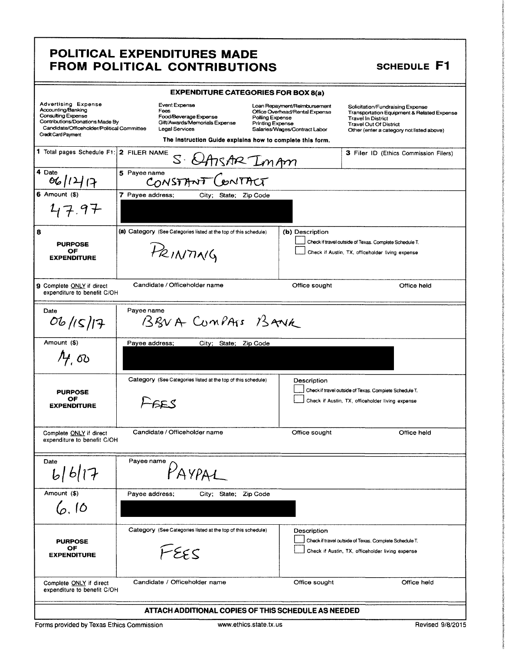# POLITICAL EXPENDITURES MADE<br>FROM POLITICAL CONTRIBUTIONS SCHEDULE F1 POLITICAL EXPENDITURES MADE<br>
FROM POLITICAL CONTRIBUTIONS
SCHEDULE F1

δ.

in contact in

**international** the control Zitalian

|                                                                                                                                                                                              | <b>EXPENDITURE CATEGORIES FOR BOX 8(a)</b>                                                                                                                     |                                                                                                                                               |                                                                                                                                                                                           |
|----------------------------------------------------------------------------------------------------------------------------------------------------------------------------------------------|----------------------------------------------------------------------------------------------------------------------------------------------------------------|-----------------------------------------------------------------------------------------------------------------------------------------------|-------------------------------------------------------------------------------------------------------------------------------------------------------------------------------------------|
| <b>Advertising Expense</b><br>Accounting/Banking<br><b>Consulting Expense</b><br>Contributions/Donations Made By<br>Candidate/Officeholder/Political Committee<br><b>Credit Card Payment</b> | Event Expense<br>Fees<br>Food/Beverage Expense<br>Gift/Awards/Memorials Expense<br>Legal Services<br>The Instruction Guide explains how to complete this form. | Loan Repayment/Reimbursement<br>Office Overhead/Rental Expense<br>Polling Expense<br><b>Printing Expense</b><br>Salaries/Wages/Contract Labor | Solicitation/Fundraising Expense<br>Transportation Equipment & Related Expense<br><b>Travel In District</b><br><b>Travel Out Of District</b><br>Other (enter a category not listed above) |
| 1 Total pages Schedule F1: 2 FILER NAME                                                                                                                                                      | S &ARAR ImAm                                                                                                                                                   |                                                                                                                                               | 3 Filer ID (Ethics Commission Filers)                                                                                                                                                     |
| 4 Date<br>06/14/7                                                                                                                                                                            | 5 Payee name<br>CONSTANT                                                                                                                                       |                                                                                                                                               |                                                                                                                                                                                           |
| $6$ Amount $(\$)$<br>47.97                                                                                                                                                                   | 7 Payee address;<br>City; State; Zip Code                                                                                                                      |                                                                                                                                               |                                                                                                                                                                                           |
| 8<br><b>PURPOSE</b><br>ΟF<br><b>EXPENDITURE</b>                                                                                                                                              | (a) Category (See Categories listed at the top of this schedule)<br>PRINTING                                                                                   | (b) Description                                                                                                                               | Check if travel outside of Texas. Complete Schedule T.<br>Check if Austin, TX, officeholder living expense                                                                                |
| 9 Complete ONLY if direct<br>expenditure to benefit C/OH                                                                                                                                     | Candidate / Officeholder name                                                                                                                                  | Office sought                                                                                                                                 | Office held                                                                                                                                                                               |
| Date<br>06/15/17                                                                                                                                                                             | Payee name<br>BRNA CUMPASS BANK                                                                                                                                |                                                                                                                                               |                                                                                                                                                                                           |
| Amount (\$)<br>$A$ , $\infty$                                                                                                                                                                | Payee address;<br>City; State; Zip Code                                                                                                                        |                                                                                                                                               |                                                                                                                                                                                           |
| <b>PURPOSE</b><br>ОF<br><b>EXPENDITURE</b>                                                                                                                                                   | Category (See Categories listed at the top of this schedule)<br>$-65.5$                                                                                        | Description                                                                                                                                   | Check if travel outside of Texas. Complete Schedule T.<br>Check if Austin, TX, officeholder living expense                                                                                |
| Complete ONLY if direct<br>expenditure to benefit C/OH                                                                                                                                       | Candidate / Officeholder name                                                                                                                                  | Office sought                                                                                                                                 | Office held                                                                                                                                                                               |
| Date<br>  6  17                                                                                                                                                                              | Payee name<br><b>AVPA1</b>                                                                                                                                     |                                                                                                                                               |                                                                                                                                                                                           |
| Amount (\$)<br>6.10                                                                                                                                                                          | Payee address;<br>City; State;                                                                                                                                 | Zip Code                                                                                                                                      |                                                                                                                                                                                           |
| <b>PURPOSE</b><br>ОF<br><b>EXPENDITURE</b>                                                                                                                                                   | Category (See Categories listed at the top of this schedule)<br>FEES                                                                                           | Description                                                                                                                                   | Check if travel outside of Texas. Complete Schedule T.<br>Check if Austin, TX, officeholder living expense                                                                                |
| Complete ONLY if direct<br>expenditure to benefit C/OH                                                                                                                                       | Candidate / Officeholder name                                                                                                                                  | Office sought                                                                                                                                 | Office held                                                                                                                                                                               |
|                                                                                                                                                                                              | ATTACH ADDITIONAL COPIES OF THIS SCHEDULE AS NEEDED                                                                                                            |                                                                                                                                               |                                                                                                                                                                                           |

Forms provided by Texas Ethics Commission www.ethics.state.tx.us Revised 9/8/2015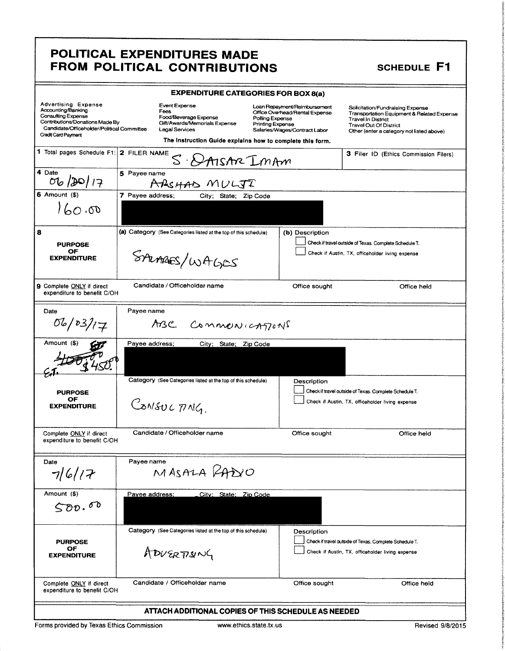## POLITICAL EXPENDITURES MADE FROM POLITICAL CONTRIBUTIONS SCHEDULE F1

in Miller i<br>international **TASWAY** 

e ostanica

|                                                                                                                                                                                       | <b>EXPENDITURE CATEGORIES FOR BOX 8(a)</b>                                                                                                                                                                          |                                                                                                 |                                                                                                                                                                                           |
|---------------------------------------------------------------------------------------------------------------------------------------------------------------------------------------|---------------------------------------------------------------------------------------------------------------------------------------------------------------------------------------------------------------------|-------------------------------------------------------------------------------------------------|-------------------------------------------------------------------------------------------------------------------------------------------------------------------------------------------|
| <b>Advertising Expense</b><br>Accounting/Banking<br>Consulting Expense<br>Contributions/Donations Made By<br>Candidate/Officeholder/Political Committee<br><b>Credit Card Payment</b> | Event Expense<br>Fees<br>Food/Beverage Expense<br>Polling Expense<br>Gift/Awards/Memorials Expense<br><b>Printing Expense</b><br><b>Legal Services</b><br>The Instruction Guide explains how to complete this form. | Loan Repayment/Reimbursement<br>Office Overhead/Rental Expense<br>Salaries/Wages/Contract Labor | Solicitation/Fundraising Expense<br>Transportation Equipment & Related Expense<br><b>Travel In District</b><br><b>Travel Out Of District</b><br>Other (enter a category not listed above) |
| 1 Total pages Schedule F1: 2 FILER NAME                                                                                                                                               | $\mathcal{Z}^-$<br>DAISAR IMAM                                                                                                                                                                                      |                                                                                                 | 3 Filer ID (Ethics Commission Filers)                                                                                                                                                     |
| $\overline{4}$ Date<br>06/20/17                                                                                                                                                       | 5 Payee name<br>ARSHAD MULJI                                                                                                                                                                                        |                                                                                                 |                                                                                                                                                                                           |
| $6$ Amount $($ )<br>$\sigma$ .00                                                                                                                                                      | 7 Payee address;<br>City;<br>State: Zip Code                                                                                                                                                                        |                                                                                                 |                                                                                                                                                                                           |
| 8<br><b>PURPOSE</b><br>OF<br><b>EXPENDITURE</b>                                                                                                                                       | (a) Category (See Categories listed at the top of this schedule)<br>SALARES/WAGES                                                                                                                                   | (b) Description                                                                                 | Check if travel outside of Texas. Complete Schedule T.<br>Check if Austin, TX, officeholder living expense                                                                                |
| 9 Complete ONLY if direct<br>expenditure to benefit C/OH                                                                                                                              | Candidate / Officeholder name                                                                                                                                                                                       | Office sought                                                                                   | Office held                                                                                                                                                                               |
| Date<br>06/03/17                                                                                                                                                                      | Payee name<br>ABC COMMONICATIONS                                                                                                                                                                                    |                                                                                                 |                                                                                                                                                                                           |
| Amount (\$)                                                                                                                                                                           | Payee address;<br>City; State; Zip Code                                                                                                                                                                             |                                                                                                 |                                                                                                                                                                                           |
| <b>PURPOSE</b><br>ОF<br><b>EXPENDITURE</b>                                                                                                                                            | Category (See Categories listed at the top of this schedule)<br>CONSULTING.                                                                                                                                         | Description                                                                                     | Check if travel outside of Texas. Complete Schedule T.<br>Check if Austin, TX, officeholder living expense                                                                                |
| Complete ONLY if direct<br>expenditure to benefit C/OH                                                                                                                                | Candidate / Officeholder name                                                                                                                                                                                       | Office sought                                                                                   | Office held                                                                                                                                                                               |
| Date<br>7/6/17                                                                                                                                                                        | Payee name<br>MASALA PADIO                                                                                                                                                                                          |                                                                                                 |                                                                                                                                                                                           |
| Amount (\$)<br>500.00                                                                                                                                                                 | Payee address;<br>City: State: Zip Code                                                                                                                                                                             |                                                                                                 |                                                                                                                                                                                           |
| <b>PURPOSE</b><br>OF<br><b>EXPENDITURE</b>                                                                                                                                            | Category (See Categories listed at the top of this schedule)<br>ADUERTISING                                                                                                                                         | Description                                                                                     | Check if travel outside of Texas. Complete Schedule T.<br>Check if Austin, TX, officeholder living expense                                                                                |
| Complete ONLY if direct<br>expenditure to benefit C/OH                                                                                                                                | Candidate / Officeholder name                                                                                                                                                                                       | Office sought                                                                                   | Office held                                                                                                                                                                               |
|                                                                                                                                                                                       | ATTACH ADDITIONAL COPIES OF THIS SCHEDULE AS NEEDED                                                                                                                                                                 |                                                                                                 |                                                                                                                                                                                           |
|                                                                                                                                                                                       |                                                                                                                                                                                                                     |                                                                                                 |                                                                                                                                                                                           |

Forms provided by Texas Ethics Commission www.ethics.state.tx.us Revised 9/8/2015